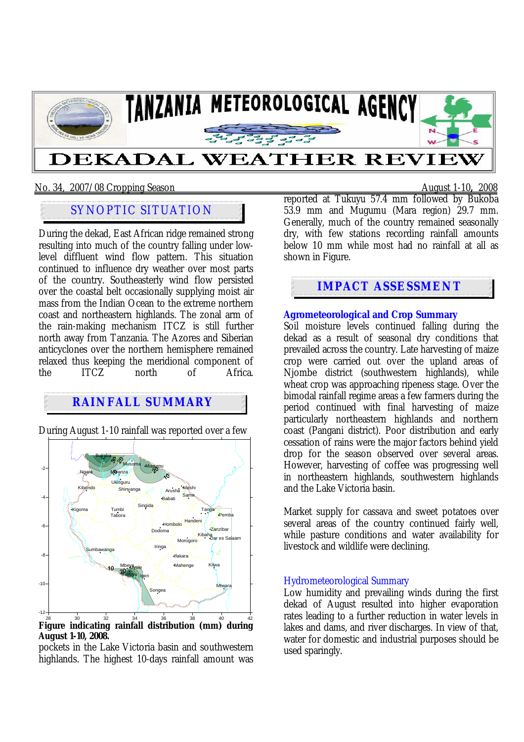

### No. 34, 2007/08 Cropping Season August 1-10**,** 2008

# SYNOPTIC SITUATION

During the dekad, East African ridge remained strong resulting into much of the country falling under lowlevel diffluent wind flow pattern. This situation continued to influence dry weather over most parts of the country. Southeasterly wind flow persisted over the coastal belt occasionally supplying moist air mass from the Indian Ocean to the extreme northern coast and northeastern highlands. The zonal arm of the rain-making mechanism ITCZ is still further north away from Tanzania. The Azores and Siberian anticyclones over the northern hemisphere remained relaxed thus keeping the meridional component of<br>the ITCZ north of Africa the ITCZ north of Africa.

## **RAINFALL SUMMARY**

During August 1-10 rainfall was reported over a few

 $-12-$ -10 -8 -6 -4 -2 **Bukoba** Mwanza Shinyanga **Same** Tar Mtwara Iringa Mbeya Sumbawanga Songea Singida Kilwa Ngara Kibaha Kibondo Tumbi Igeri Moshi Mahenge Pemba Zanzibar Dar es Salaam Kigoma Lyole Babati Mugumu Hombolo Ifakara Musoma Arusha Morogoro Dodoma Tabora Handeni **Ukiriguru** Tukuyu

28 30 32 34 36 38 40 42 **Figure indicating rainfall distribution (mm) during August 1-10, 2008.** 

pockets in the Lake Victoria basin and southwestern highlands. The highest 10-days rainfall amount was

reported at Tukuyu 57.4 mm followed by Bukoba 53.9 mm and Mugumu (Mara region) 29.7 mm. Generally, much of the country remained seasonally dry, with few stations recording rainfall amounts below 10 mm while most had no rainfall at all as shown in Figure.

## **IMPACT ASSESSMENT**

#### **Agrometeorological and Crop Summary**

Soil moisture levels continued falling during the dekad as a result of seasonal dry conditions that prevailed across the country. Late harvesting of maize crop were carried out over the upland areas of Njombe district (southwestern highlands), while wheat crop was approaching ripeness stage. Over the bimodal rainfall regime areas a few farmers during the period continued with final harvesting of maize particularly northeastern highlands and northern coast (Pangani district). Poor distribution and early cessation of rains were the major factors behind yield drop for the season observed over several areas. However, harvesting of coffee was progressing well in northeastern highlands, southwestern highlands and the Lake Victoria basin.

Market supply for cassava and sweet potatoes over several areas of the country continued fairly well, while pasture conditions and water availability for livestock and wildlife were declining.

#### Hydrometeorological Summary

Low humidity and prevailing winds during the first dekad of August resulted into higher evaporation rates leading to a further reduction in water levels in lakes and dams, and river discharges. In view of that, water for domestic and industrial purposes should be used sparingly.